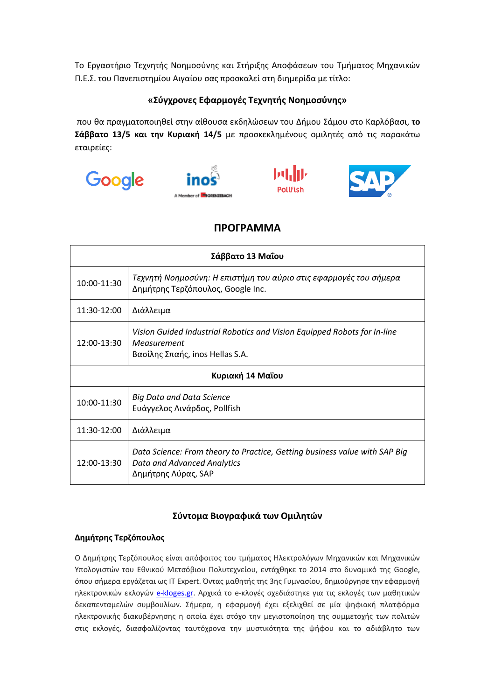Το Εργαστήριο Τεχνητής Νοημοσύνης και Στήριξης Αποφάσεων του Τμήματος Μηχανικών Π.Ε.Σ. του Πανεπιστημίου Αιγαίου σας προσκαλεί στη διημερίδα με τίτλο:

## **«Σύγχρονες Εφαρμογές Τεχνητής Νοημοσύνης»**

που θα πραγματοποιηθεί στην αίθουσα εκδηλώσεων του Δήμου Σάμου στο Καρλόβασι, **το Σάββατο 13/5 και την Κυριακή 14/5** με προσκεκλημένους ομιλητές από τις παρακάτω εταιρείες:









# **ΠΡΟΓΡΑΜΜΑ**

| Σάββατο 13 Μαΐου |                                                                                                                                  |
|------------------|----------------------------------------------------------------------------------------------------------------------------------|
| 10:00-11:30      | Τεχνητή Νοημοσύνη: Η επιστήμη του αύριο στις εφαρμογές του σήμερα<br>Δημήτρης Τερζόπουλος, Google Inc.                           |
| 11:30-12:00      | Διάλλειμα                                                                                                                        |
| 12:00-13:30      | Vision Guided Industrial Robotics and Vision Equipped Robots for In-line<br>Measurement<br>Βασίλης Σπαής, inos Hellas S.A.       |
| Κυριακή 14 Μαΐου |                                                                                                                                  |
| 10:00-11:30      | <b>Big Data and Data Science</b><br>Ευάγγελος Λινάρδος, Pollfish                                                                 |
| 11:30-12:00      | Διάλλειμα                                                                                                                        |
| 12:00-13:30      | Data Science: From theory to Practice, Getting business value with SAP Big<br>Data and Advanced Analytics<br>Δημήτρης Λύρας, SAP |

## **Σύντομα Βιογραφικά των Ομιλητών**

## **Δημήτρης Τερζόπουλος**

Ο Δημήτρης Τερζόπουλος είναι απόφοιτος του τμήματος Ηλεκτρολόγων Μηχανικών και Μηχανικών Υπολογιστών του Εθνικού Μετσόβιου Πολυτεχνείου, εντάχθηκε το 2014 στο δυναμικό της Google, όπου σήμερα εργάζεται ως IT Expert. Όντας μαθητής της 3ης Γυμνασίου, δημιούργησε την εφαρμογή ηλεκτρονικών εκλογών [e-kloges.gr](http://e-kloges.gr/). Αρχικά το e-κλογές σχεδιάστηκε για τις εκλογές των μαθητικών δεκαπενταμελών συμβουλίων. Σήμερα, η εφαρμογή έχει εξελιχθεί σε μία ψηφιακή πλατφόρμα ηλεκτρονικής διακυβέρνησης η οποία έχει στόχο την μεγιστοποίηση της συμμετοχής των πολιτών στις εκλογές, διασφαλίζοντας ταυτόχρονα την μυστικότητα της ψήφου και το αδιάβλητο των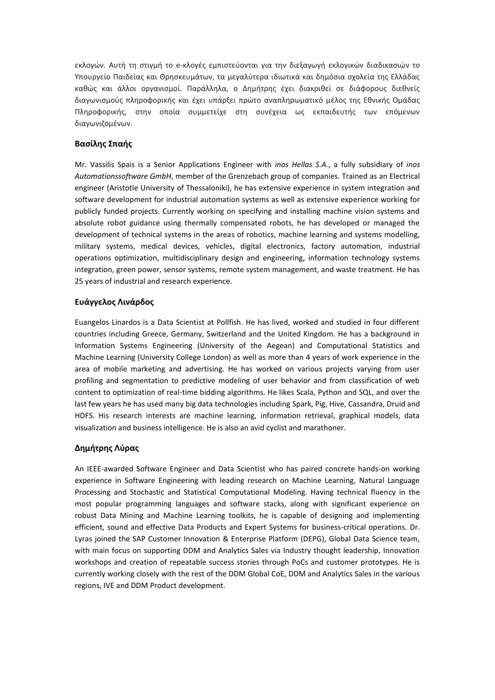εκλογών. Αυτή τη στιγμή το e-κλογές εμπιστεύονται για την διεξαγωγή εκλογικών διαδικασιών το Υπουργείο Παιδείας και Θρησκευμάτων, τα μεγαλύτερα ιδιωτικά και δημόσια σχολεία της Ελλάδας καθώς και άλλοι οργανισμοί. Παράλληλα, ο Δημήτρης έχει διακριθεί σε διάφορους διεθνείς διαγωνισμούς πληροφορικής και έχει υπάρξει πρώτο αναπληρωματικό μέλος της Εθνικής Ομάδας Πληροφορικής, στην οποία συμμετείχε στη συνέχεια ως εκπαιδευτής των επόμενων διαγωνιζομένων.

### **Βασίλης Σπαής**

Mr. Vassilis Spais is a Senior Applications Engineer with *inos Hellas S.A.*, a fully subsidiary of *inos Automationssoftware GmbH*, member of the Grenzebach group of companies. Trained as an Electrical engineer (Aristotle University of Thessaloniki), he has extensive experience in system integration and software development for industrial automation systems as well as extensive experience working for publicly funded projects. Currently working on specifying and installing machine vision systems and absolute robot guidance using thermally compensated robots, he has developed or managed the development of technical systems in the areas of robotics, machine learning and systems modelling, military systems, medical devices, vehicles, digital electronics, factory automation, industrial operations optimization, multidisciplinary design and engineering, information technology systems integration, green power, sensor systems, remote system management, and waste treatment. He has 25 years of industrial and research experience.

#### **Ευάγγελος Λινάρδος**

Euangelos Linardos is a Data Scientist at Pollfish. He has lived, worked and studied in four different countries including Greece, Germany, Switzerland and the United Kingdom. He has a background in Information Systems Engineering (University of the Aegean) and Computational Statistics and Machine Learning (University College London) as well as more than 4 years of work experience in the area of mobile marketing and advertising. He has worked on various projects varying from user profiling and segmentation to predictive modeling of user behavior and from classification of web content to optimization of real-time bidding algorithms. He likes Scala, Python and SQL, and over the last few years he has used many big data technologies including Spark, Pig, Hive, Cassandra, Druid and HDFS. His research interests are machine learning, information retrieval, graphical models, data visualization and business intelligence. He is also an avid cyclist and marathoner.

#### **Δημήτρης Λύρας**

An IEEE-awarded Software Engineer and Data Scientist who has paired concrete hands-on working experience in Software Engineering with leading research on Machine Learning, Natural Language Processing and Stochastic and Statistical Computational Modeling. Having technical fluency in the most popular programming languages and software stacks, along with significant experience on robust Data Mining and Machine Learning toolkits, he is capable of designing and implementing efficient, sound and effective Data Products and Expert Systems for business-critical operations. Dr. Lyras joined the SAP Customer Innovation & Enterprise Platform (DEPG), Global Data Science team, with main focus on supporting DDM and Analytics Sales via Industry thought leadership, Innovation workshops and creation of repeatable success stories through PoCs and customer prototypes. He is currently working closely with the rest of the DDM Global CoE, DDM and Analytics Sales in the various regions, IVE and DDM Product development.